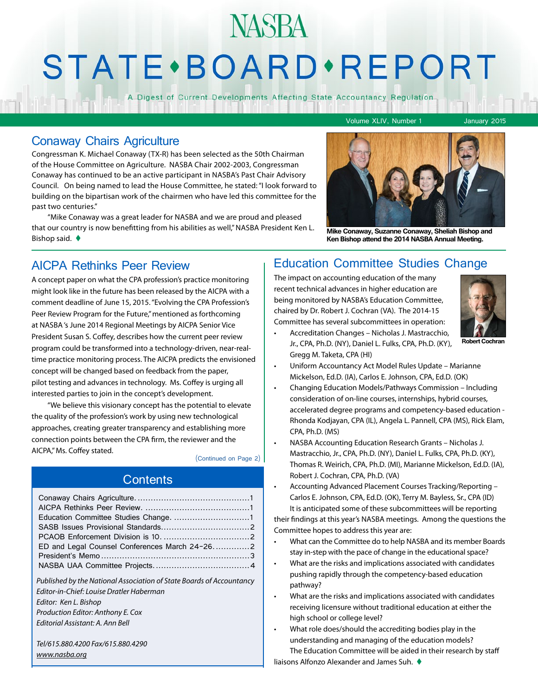# **NASBA STATE** · BOARD · REPORT

A Digest of Current Developments Affecting State Accountancy Regulation

Volume XLIV, Number 1 January 2015

#### Conaway Chairs Agriculture

Congressman K. Michael Conaway (TX-R) has been selected as the 50th Chairman of the House Committee on Agriculture. NASBA Chair 2002-2003, Congressman Conaway has continued to be an active participant in NASBA's Past Chair Advisory Council. On being named to lead the House Committee, he stated: "I look forward to building on the bipartisan work of the chairmen who have led this committee for the past two centuries."

"Mike Conaway was a great leader for NASBA and we are proud and pleased that our country is now benefitting from his abilities as well," NASBA President Ken L. Bishop said. <sup>t</sup> **Mike Conaway, Suzanne Conaway, Sheliah Bishop and Ken Bishop attend the 2014 NASBA Annual Meeting.** 



A concept paper on what the CPA profession's practice monitoring might look like in the future has been released by the AICPA with a comment deadline of June 15, 2015. "Evolving the CPA Profession's Peer Review Program for the Future," mentioned as forthcoming at NASBA 's June 2014 Regional Meetings by AICPA Senior Vice President Susan S. Coffey, describes how the current peer review program could be transformed into a technology-driven, near-realtime practice monitoring process. The AICPA predicts the envisioned concept will be changed based on feedback from the paper, pilot testing and advances in technology. Ms. Coffey is urging all interested parties to join in the concept's development.

"We believe this visionary concept has the potential to elevate the quality of the profession's work by using new technological approaches, creating greater transparency and establishing more connection points between the CPA firm, the reviewer and the AICPA," Ms. Coffey stated.

#### (Continued on Page 2)

### **Contents**

| Education Committee Studies Change. 1                                                                                                                                                                              |  |
|--------------------------------------------------------------------------------------------------------------------------------------------------------------------------------------------------------------------|--|
|                                                                                                                                                                                                                    |  |
|                                                                                                                                                                                                                    |  |
|                                                                                                                                                                                                                    |  |
|                                                                                                                                                                                                                    |  |
|                                                                                                                                                                                                                    |  |
| Published by the National Association of State Boards of Accountancy<br>Editor-in-Chief: Louise Dratler Haberman<br>Editor: Ken L. Bishop<br>Production Editor: Anthony E. Cox<br>Fditorial Assistant: A. Ann Bell |  |
| Tel/615.880.4200 Fax/615.880.4290                                                                                                                                                                                  |  |
| www.nasba.org                                                                                                                                                                                                      |  |

#### AICPA Rethinks Peer Review Education Committee Studies Change

The impact on accounting education of the many recent technical advances in higher education are being monitored by NASBA's Education Committee, chaired by Dr. Robert J. Cochran (VA). The 2014-15 Committee has several subcommittees in operation:



- Accreditation Changes Nicholas J. Mastracchio, Jr., CPA, Ph.D. (NY), Daniel L. Fulks, CPA, Ph.D. (KY), Gregg M. Taketa, CPA (HI)
- Uniform Accountancy Act Model Rules Update Marianne Mickelson, Ed.D. (IA), Carlos E. Johnson, CPA, Ed.D. (OK)
- Changing Education Models/Pathways Commission Including consideration of on-line courses, internships, hybrid courses, accelerated degree programs and competency-based education - Rhonda Kodjayan, CPA (IL), Angela L. Pannell, CPA (MS), Rick Elam, CPA, Ph.D. (MS)
- NASBA Accounting Education Research Grants Nicholas J. Mastracchio, Jr., CPA, Ph.D. (NY), Daniel L. Fulks, CPA, Ph.D. (KY), Thomas R. Weirich, CPA, Ph.D. (MI), Marianne Mickelson, Ed.D. (IA), Robert J. Cochran, CPA, Ph.D. (VA)

• Accounting Advanced Placement Courses Tracking/Reporting – Carlos E. Johnson, CPA, Ed.D. (OK), Terry M. Bayless, Sr., CPA (ID) It is anticipated some of these subcommittees will be reporting

their findings at this year's NASBA meetings. Among the questions the Committee hopes to address this year are:

- What can the Committee do to help NASBA and its member Boards stay in-step with the pace of change in the educational space?
- What are the risks and implications associated with candidates pushing rapidly through the competency-based education pathway?
- What are the risks and implications associated with candidates receiving licensure without traditional education at either the high school or college level?
- What role does/should the accrediting bodies play in the understanding and managing of the education models? The Education Committee will be aided in their research by staff liaisons Alfonzo Alexander and James Suh. ♦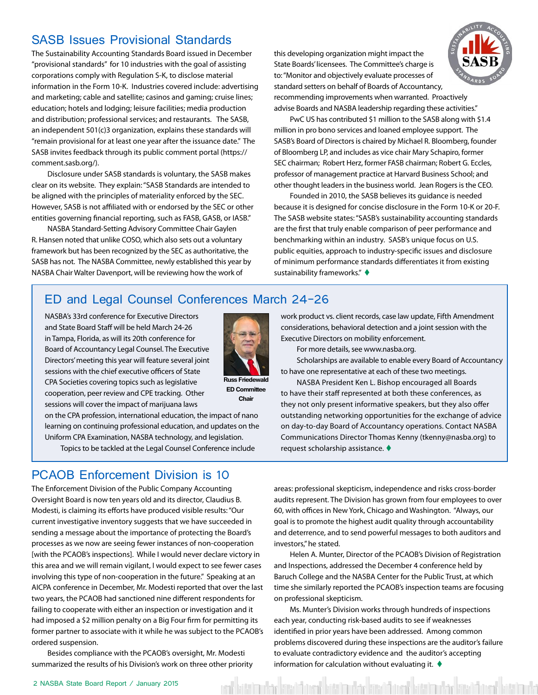### <span id="page-1-0"></span>SASB Issues Provisional Standards

The Sustainability Accounting Standards Board issued in December "provisional standards" for 10 industries with the goal of assisting corporations comply with Regulation S-K, to disclose material information in the Form 10-K. Industries covered include: advertising and marketing; cable and satellite; casinos and gaming; cruise lines; education; hotels and lodging; leisure facilities; media production and distribution; professional services; and restaurants. The SASB, an independent 501(c)3 organization, explains these standards will "remain provisional for at least one year after the issuance date." The SASB invites feedback through its public comment portal (https:// comment.sasb.org/).

Disclosure under SASB standards is voluntary, the SASB makes clear on its website. They explain: "SASB Standards are intended to be aligned with the principles of materiality enforced by the SEC. However, SASB is not affiliated with or endorsed by the SEC or other entities governing financial reporting, such as FASB, GASB, or IASB."

NASBA Standard-Setting Advisory Committee Chair Gaylen R. Hansen noted that unlike COSO, which also sets out a voluntary framework but has been recognized by the SEC as authoritative, the SASB has not. The NASBA Committee, newly established this year by NASBA Chair Walter Davenport, will be reviewing how the work of

this developing organization might impact the State Boards' licensees. The Committee's charge is to: "Monitor and objectively evaluate processes of standard setters on behalf of Boards of Accountancy, recommending improvements when warranted. Proactively advise Boards and NASBA leadership regarding these activities."



PwC US has contributed \$1 million to the SASB along with \$1.4 million in pro bono services and loaned employee support. The SASB's Board of Directors is chaired by Michael R. Bloomberg, founder of Bloomberg LP, and includes as vice chair Mary Schapiro, former SEC chairman; Robert Herz, former FASB chairman; Robert G. Eccles, professor of management practice at Harvard Business School; and other thought leaders in the business world. Jean Rogers is the CEO.

Founded in 2010, the SASB believes its guidance is needed because it is designed for concise disclosure in the Form 10-K or 20-F. The SASB website states: "SASB's sustainability accounting standards are the first that truly enable comparison of peer performance and benchmarking within an industry. SASB's unique focus on U.S. public equities, approach to industry-specific issues and disclosure of minimum performance standards differentiates it from existing sustainability frameworks."  $\blacklozenge$ 

#### ED and Legal Counsel Conferences March 24-26

NASBA's 33rd conference for Executive Directors and State Board Staff will be held March 24-26 in Tampa, Florida, as will its 20th conference for Board of Accountancy Legal Counsel. The Executive Directors' meeting this year will feature several joint sessions with the chief executive officers of State CPA Societies covering topics such as legislative cooperation, peer review and CPE tracking. Other sessions will cover the impact of marijuana laws



**Russ Friedewald ED Committee Chair**

on the CPA profession, international education, the impact of nano learning on continuing professional education, and updates on the Uniform CPA Examination, NASBA technology, and legislation.

Topics to be tackled at the Legal Counsel Conference include

### PCAOB Enforcement Division is 10

The Enforcement Division of the Public Company Accounting Oversight Board is now ten years old and its director, Claudius B. Modesti, is claiming its efforts have produced visible results: "Our current investigative inventory suggests that we have succeeded in sending a message about the importance of protecting the Board's processes as we now are seeing fewer instances of non-cooperation [with the PCAOB's inspections]. While I would never declare victory in this area and we will remain vigilant, I would expect to see fewer cases involving this type of non-cooperation in the future." Speaking at an AICPA conference in December, Mr. Modesti reported that over the last two years, the PCAOB had sanctioned nine different respondents for failing to cooperate with either an inspection or investigation and it had imposed a \$2 million penalty on a Big Four firm for permitting its former partner to associate with it while he was subject to the PCAOB's ordered suspension.

Besides compliance with the PCAOB's oversight, Mr. Modesti summarized the results of his Division's work on three other priority work product vs. client records, case law update, Fifth Amendment considerations, behavioral detection and a joint session with the Executive Directors on mobility enforcement.

For more details, see www.nasba.org.

Scholarships are available to enable every Board of Accountancy to have one representative at each of these two meetings.

NASBA President Ken L. Bishop encouraged all Boards to have their staff represented at both these conferences, as they not only present informative speakers, but they also offer outstanding networking opportunities for the exchange of advice on day-to-day Board of Accountancy operations. Contact NASBA Communications Director Thomas Kenny (tkenny@nasba.org) to request scholarship assistance.  $\blacklozenge$ 

areas: professional skepticism, independence and risks cross-border audits represent. The Division has grown from four employees to over 60, with offices in New York, Chicago and Washington. "Always, our goal is to promote the highest audit quality through accountability and deterrence, and to send powerful messages to both auditors and investors," he stated.

Helen A. Munter, Director of the PCAOB's Division of Registration and Inspections, addressed the December 4 conference held by Baruch College and the NASBA Center for the Public Trust, at which time she similarly reported the PCAOB's inspection teams are focusing on professional skepticism.

Ms. Munter's Division works through hundreds of inspections each year, conducting risk-based audits to see if weaknesses identified in prior years have been addressed. Among common problems discovered during these inspections are the auditor's failure to evaluate contradictory evidence and the auditor's accepting information for calculation without evaluating it.  $\blacklozenge$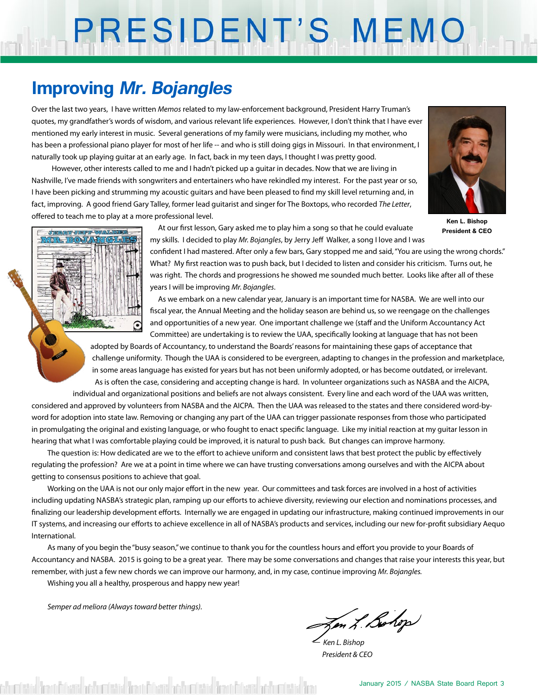# PRESIDENT'S MEMO

## **Improving Mr. Bojangles**

Over the last two years, I have written *Memos* related to my law-enforcement background, President Harry Truman's quotes, my grandfather's words of wisdom, and various relevant life experiences. However, I don't think that I have ever mentioned my early interest in music. Several generations of my family were musicians, including my mother, who has been a professional piano player for most of her life -- and who is still doing gigs in Missouri. In that environment, I naturally took up playing guitar at an early age. In fact, back in my teen days, I thought I was pretty good.

 However, other interests called to me and I hadn't picked up a guitar in decades. Now that we are living in Nashville, I've made friends with songwriters and entertainers who have rekindled my interest. For the past year or so, I have been picking and strumming my acoustic guitars and have been pleased to find my skill level returning and, in fact, improving. A good friend Gary Talley, former lead guitarist and singer for The Boxtops, who recorded *The Letter*, offered to teach me to play at a more professional level.



**Ken L. Bishop President & CEO**



At our first lesson, Gary asked me to play him a song so that he could evaluate my skills. I decided to play *Mr. Bojangles*, by Jerry Jeff Walker, a song I love and I was

confident I had mastered. After only a few bars, Gary stopped me and said, "You are using the wrong chords." What? My first reaction was to push back, but I decided to listen and consider his criticism. Turns out, he was right. The chords and progressions he showed me sounded much better. Looks like after all of these years I will be improving *Mr. Bojangles*.

As we embark on a new calendar year, January is an important time for NASBA. We are well into our fiscal year, the Annual Meeting and the holiday season are behind us, so we reengage on the challenges and opportunities of a new year. One important challenge we (staff and the Uniform Accountancy Act Committee) are undertaking is to review the UAA, specifically looking at language that has not been

adopted by Boards of Accountancy, to understand the Boards' reasons for maintaining these gaps of acceptance that challenge uniformity. Though the UAA is considered to be evergreen, adapting to changes in the profession and marketplace, in some areas language has existed for years but has not been uniformly adopted, or has become outdated, or irrelevant. As is often the case, considering and accepting change is hard. In volunteer organizations such as NASBA and the AICPA,

individual and organizational positions and beliefs are not always consistent. Every line and each word of the UAA was written, considered and approved by volunteers from NASBA and the AICPA. Then the UAA was released to the states and there considered word-byword for adoption into state law. Removing or changing any part of the UAA can trigger passionate responses from those who participated in promulgating the original and existing language, or who fought to enact specific language. Like my initial reaction at my guitar lesson in hearing that what I was comfortable playing could be improved, it is natural to push back. But changes can improve harmony.

The question is: How dedicated are we to the effort to achieve uniform and consistent laws that best protect the public by effectively regulating the profession? Are we at a point in time where we can have trusting conversations among ourselves and with the AICPA about getting to consensus positions to achieve that goal.

Working on the UAA is not our only major effort in the new year. Our committees and task forces are involved in a host of activities including updating NASBA's strategic plan, ramping up our efforts to achieve diversity, reviewing our election and nominations processes, and finalizing our leadership development efforts. Internally we are engaged in updating our infrastructure, making continued improvements in our IT systems, and increasing our efforts to achieve excellence in all of NASBA's products and services, including our new for-profit subsidiary Aequo International.

As many of you begin the "busy season," we continue to thank you for the countless hours and effort you provide to your Boards of Accountancy and NASBA. 2015 is going to be a great year. There may be some conversations and changes that raise your interests this year, but remember, with just a few new chords we can improve our harmony, and, in my case, continue improving *Mr. Bojangles.*

Wishing you all a healthy, prosperous and happy new year!

*Semper ad meliora (Always toward better things).*

Jen L. Bohop *— Ken L. Bishop*

 *President & CEO*

shumberida dimantikani kashumberida dimantikani kokumberida da kashumberida da kumberida da kumberida da komun